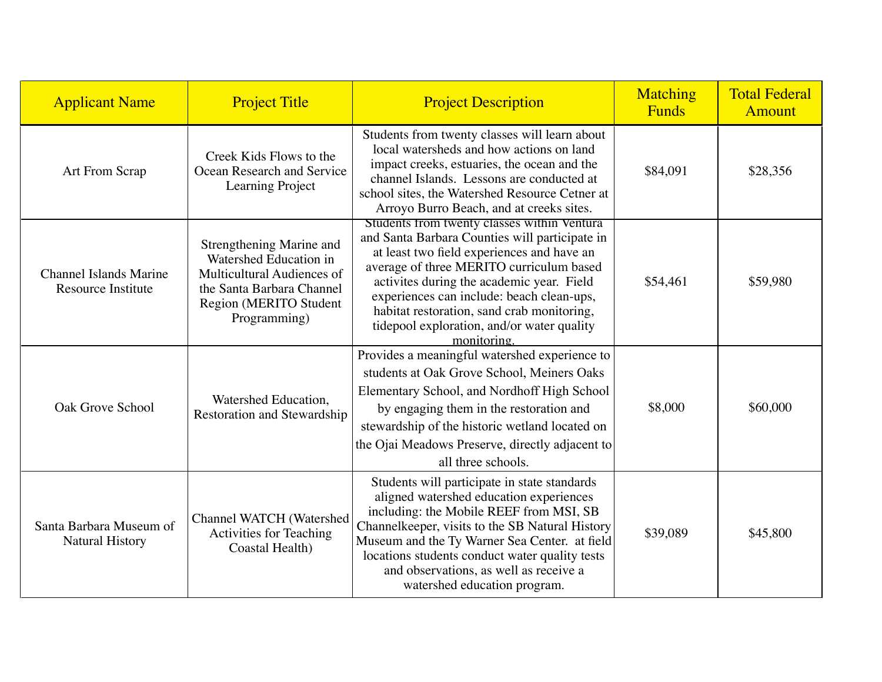| <b>Applicant Name</b>                               | <b>Project Title</b>                                                                                                                                    | <b>Project Description</b>                                                                                                                                                                                                                                                                                                                                                                   | Matching<br><b>Funds</b> | <b>Total Federal</b><br><b>Amount</b> |
|-----------------------------------------------------|---------------------------------------------------------------------------------------------------------------------------------------------------------|----------------------------------------------------------------------------------------------------------------------------------------------------------------------------------------------------------------------------------------------------------------------------------------------------------------------------------------------------------------------------------------------|--------------------------|---------------------------------------|
| Art From Scrap                                      | Creek Kids Flows to the<br>Ocean Research and Service<br>Learning Project                                                                               | Students from twenty classes will learn about<br>local watersheds and how actions on land<br>impact creeks, estuaries, the ocean and the<br>channel Islands. Lessons are conducted at<br>school sites, the Watershed Resource Cetner at<br>Arroyo Burro Beach, and at creeks sites.                                                                                                          | \$84,091                 | \$28,356                              |
| <b>Channel Islands Marine</b><br>Resource Institute | Strengthening Marine and<br>Watershed Education in<br>Multicultural Audiences of<br>the Santa Barbara Channel<br>Region (MERITO Student<br>Programming) | Students from twenty classes within Ventura<br>and Santa Barbara Counties will participate in<br>at least two field experiences and have an<br>average of three MERITO curriculum based<br>activites during the academic year. Field<br>experiences can include: beach clean-ups,<br>habitat restoration, sand crab monitoring,<br>tidepool exploration, and/or water quality<br>monitoring. | \$54,461                 | \$59,980                              |
| Oak Grove School                                    | Watershed Education,<br><b>Restoration and Stewardship</b>                                                                                              | Provides a meaningful watershed experience to<br>students at Oak Grove School, Meiners Oaks<br>Elementary School, and Nordhoff High School<br>by engaging them in the restoration and<br>stewardship of the historic wetland located on<br>the Ojai Meadows Preserve, directly adjacent to<br>all three schools.                                                                             | \$8,000                  | \$60,000                              |
| Santa Barbara Museum of<br><b>Natural History</b>   | Channel WATCH (Watershed<br>Activities for Teaching<br>Coastal Health)                                                                                  | Students will participate in state standards<br>aligned watershed education experiences<br>including: the Mobile REEF from MSI, SB<br>Channelkeeper, visits to the SB Natural History<br>Museum and the Ty Warner Sea Center. at field<br>locations students conduct water quality tests<br>and observations, as well as receive a<br>watershed education program.                           | \$39,089                 | \$45,800                              |